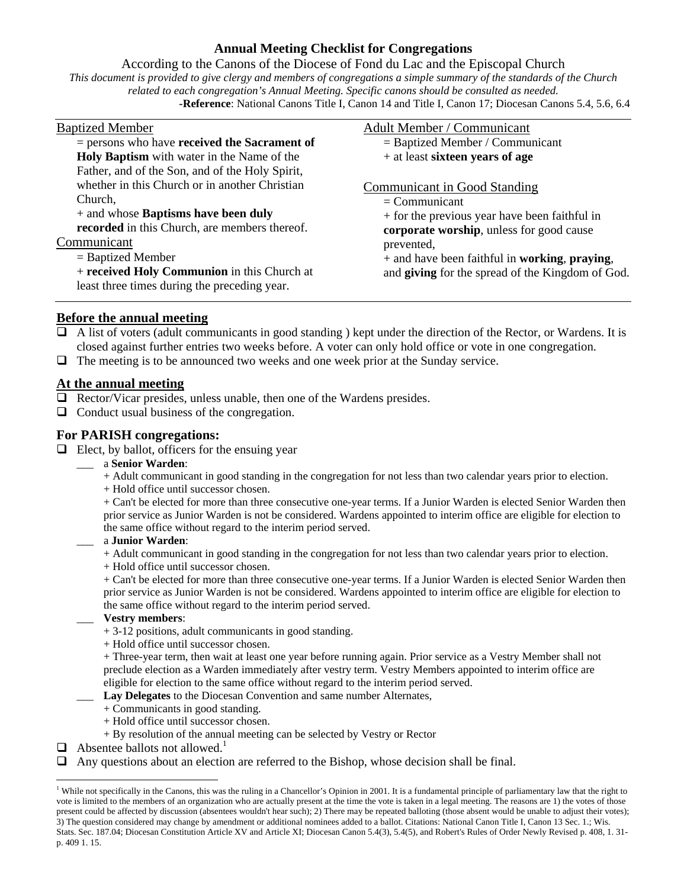## **Annual Meeting Checklist for Congregations**

### According to the Canons of the Diocese of Fond du Lac and the Episcopal Church

*This document is provided to give clergy and members of congregations a simple summary of the standards of the Church related to each congregation's Annual Meeting. Specific canons should be consulted as needed.*  **-Reference**: National Canons Title I, Canon 14 and Title I, Canon 17; Diocesan Canons 5.4, 5.6, 6.4

| <b>Baptized Member</b>                                                                                                                                                                                                                                                                        | Adult Member / Communicant                                                                                                                                                                                                                                        |
|-----------------------------------------------------------------------------------------------------------------------------------------------------------------------------------------------------------------------------------------------------------------------------------------------|-------------------------------------------------------------------------------------------------------------------------------------------------------------------------------------------------------------------------------------------------------------------|
| $=$ persons who have received the Sacrament of<br>Holy Baptism with water in the Name of the<br>Father, and of the Son, and of the Holy Spirit,                                                                                                                                               | $=$ Baptized Member / Communicant<br>$+$ at least sixteen years of age                                                                                                                                                                                            |
| whether in this Church or in another Christian<br>Church,<br>+ and whose <b>Baptisms have been duly</b><br>recorded in this Church, are members thereof.<br>Communicant<br>$=$ Baptized Member<br>+ received Holy Communion in this Church at<br>least three times during the preceding year. | Communicant in Good Standing<br>$=$ Communicant<br>+ for the previous year have been faithful in<br>corporate worship, unless for good cause<br>prevented,<br>$+$ and have been faithful in working, praying,<br>and giving for the spread of the Kingdom of God. |

### **Before the annual meeting**

- $\Box$  A list of voters (adult communicants in good standing) kept under the direction of the Rector, or Wardens. It is closed against further entries two weeks before. A voter can only hold office or vote in one congregation.
- $\Box$  The meeting is to be announced two weeks and one week prior at the Sunday service.

## **At the annual meeting**

- $\Box$  Rector/Vicar presides, unless unable, then one of the Wardens presides.
- $\Box$  Conduct usual business of the congregation.

### **For PARISH congregations:**

- $\Box$  Elect, by ballot, officers for the ensuing year
	- \_\_\_ a **Senior Warden**:
		- + Adult communicant in good standing in the congregation for not less than two calendar years prior to election.
		- + Hold office until successor chosen.

+ Can't be elected for more than three consecutive one-year terms. If a Junior Warden is elected Senior Warden then prior service as Junior Warden is not be considered. Wardens appointed to interim office are eligible for election to the same office without regard to the interim period served.

#### \_\_\_ a **Junior Warden**:

+ Adult communicant in good standing in the congregation for not less than two calendar years prior to election.

+ Hold office until successor chosen.

+ Can't be elected for more than three consecutive one-year terms. If a Junior Warden is elected Senior Warden then prior service as Junior Warden is not be considered. Wardens appointed to interim office are eligible for election to the same office without regard to the interim period served.

#### \_\_\_ **Vestry members**:

- + 3-12 positions, adult communicants in good standing.
- + Hold office until successor chosen.

+ Three-year term, then wait at least one year before running again. Prior service as a Vestry Member shall not preclude election as a Warden immediately after vestry term. Vestry Members appointed to interim office are eligible for election to the same office without regard to the interim period served.

Lay Delegates to the Diocesan Convention and same number Alternates,

- + Communicants in good standing.
- + Hold office until successor chosen.
- + By resolution of the annual meeting can be selected by Vestry or Rector
- $\Box$  Absentee ballots not allowed.<sup>1</sup>

l

Any questions about an election are referred to the Bishop, whose decision shall be final.

<sup>&</sup>lt;sup>1</sup> While not specifically in the Canons, this was the ruling in a Chancellor's Opinion in 2001. It is a fundamental principle of parliamentary law that the right to vote is limited to the members of an organization who are actually present at the time the vote is taken in a legal meeting. The reasons are 1) the votes of those present could be affected by discussion (absentees wouldn't hear such); 2) There may be repeated balloting (those absent would be unable to adjust their votes); 3) The question considered may change by amendment or additional nominees added to a ballot. Citations: National Canon Title I, Canon 13 Sec. 1.; Wis. Stats. Sec. 187.04; Diocesan Constitution Article XV and Article XI; Diocesan Canon 5.4(3), 5.4(5), and Robert's Rules of Order Newly Revised p. 408, 1. 31 p. 409 1. 15.